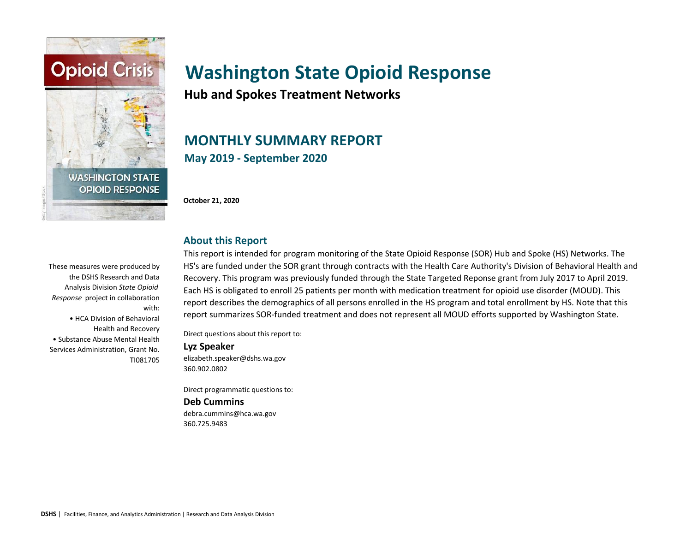

**Hub and Spokes Treatment Networks**

# **MONTHLY SUMMARY REPORT May 2019 - September 2020**

**October 21, 2020**

**About this Report**

#### These measures were produced by the DSHS Research and Data Analysis Division *State Opioid Response* project in collaboration with: • HCA Division of Behavioral Health and Recovery • Substance Abuse Mental Health Services Administration, Grant No. TI081705

This report is intended for program monitoring of the State Opioid Response (SOR) Hub and Spoke (HS) Networks. The HS's are funded under the SOR grant through contracts with the Health Care Authority's Division of Behavioral Health and Recovery. This program was previously funded through the State Targeted Reponse grant from July 2017 to April 2019. Each HS is obligated to enroll 25 patients per month with medication treatment for opioid use disorder (MOUD). This report describes the demographics of all persons enrolled in the HS program and total enrollment by HS. Note that this report summarizes SOR-funded treatment and does not represent all MOUD efforts supported by Washington State.

Direct questions about this report to:

#### **Lyz Speaker**

elizabeth.speaker@dshs.wa.gov 360.902.0802

Direct programmatic questions to:

#### **Deb Cummins**

debra.cummins@hca.wa.gov 360.725.9483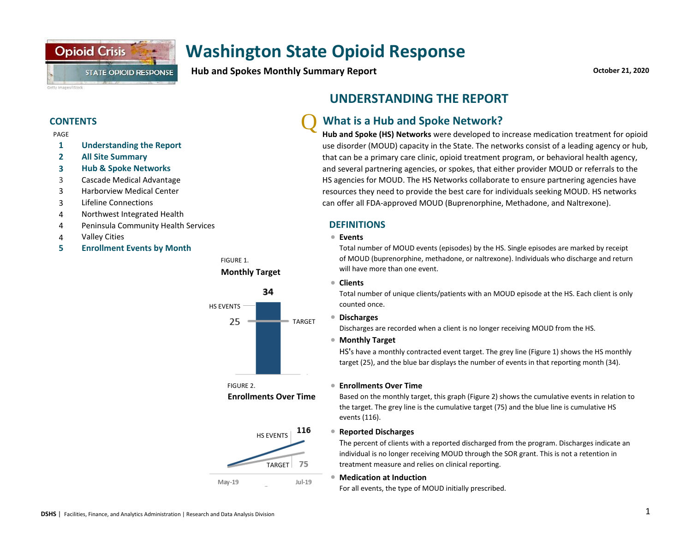

**Hub and Spokes Monthly Summary Report**

**October 21, 2020**

#### **CONTENTS**

PAGE

- **1 Understanding the Report**
- **2 All Site Summary**
- **3 Hub & Spoke Networks**
- 3 Cascade Medical Advantage
- 3 Harborview Medical Center
- 3 Lifeline Connections
- 4 Northwest Integrated Health
- 4 Peninsula Community Health Services
- 4 <sup>l</sup> Valley Cities
- **5 Enrollment Events by Month**





FIGURE 2. **Enrollments Over Time**



# **UNDERSTANDING THE REPORT**

#### Q **What is a Hub and Spoke Network?**

**Hub and Spoke (HS) Networks** were developed to increase medication treatment for opioid use disorder (MOUD) capacity in the State. The networks consist of a leading agency or hub, that can be a primary care clinic, opioid treatment program, or behavioral health agency, and several partnering agencies, or spokes, that either provider MOUD or referrals to the HS agencies for MOUD. The HS Networks collaborate to ensure partnering agencies have resources they need to provide the best care for individuals seeking MOUD. HS networks can offer all FDA-approved MOUD (Buprenorphine, Methadone, and Naltrexone).

#### **DEFINITIONS**

#### **Events**

Total number of MOUD events (episodes) by the HS. Single episodes are marked by receipt of MOUD (buprenorphine, methadone, or naltrexone). Individuals who discharge and return will have more than one event.

#### **•** Clients

Total number of unique clients/patients with an MOUD episode at the HS. Each client is only counted once.

#### l **Discharges**

Discharges are recorded when a client is no longer receiving MOUD from the HS.

#### ● Monthly Target

HS**'**s have a monthly contracted event target. The grey line (Figure 1) shows the HS monthly target (25), and the blue bar displays the number of events in that reporting month (34).

 $\bullet$ **Enrollments Over Time** 

Based on the monthly target, this graph (Figure 2) shows the cumulative events in relation to the target. The grey line is the cumulative target (75) and the blue line is cumulative HS events (116).

#### l **Reported Discharges**

The percent of clients with a reported discharged from the program. Discharges indicate an individual is no longer receiving MOUD through the SOR grant. This is not a retention in treatment measure and relies on clinical reporting.

#### **• Medication at Induction**

For all events, the type of MOUD initially prescribed.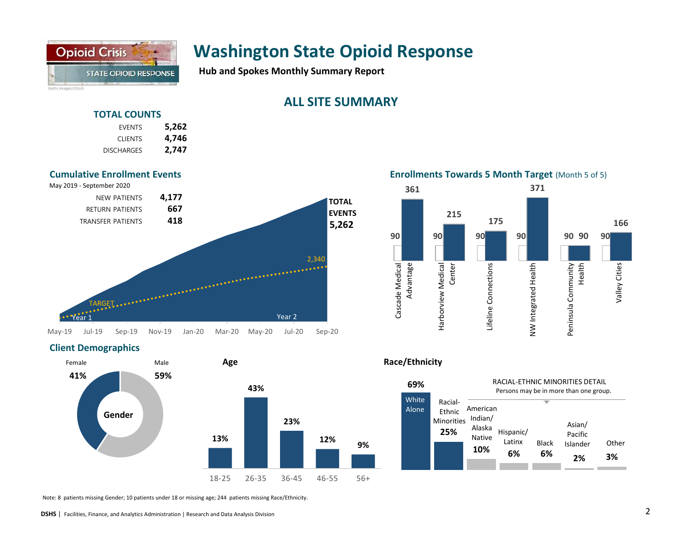

**Hub and Spokes Monthly Summary Report**

# **ALL SITE SUMMARY**

### **TOTAL COUNTS**

| 5,262 | <b>FVENTS</b>     |
|-------|-------------------|
| 4,746 | <b>CLIENTS</b>    |
| 2,747 | <b>DISCHARGES</b> |



#### **Enrollments Towards 5 Month Target** (Month 5 of 5)



### **Client Demographics**



Note: 8 patients missing Gender; 10 patients under 18 or missing age; 244 patients missing Race/Ethnicity.



#### **DSHS** | Facilities, Finance, and Analytics Administration | Research and Data Analysis Division 2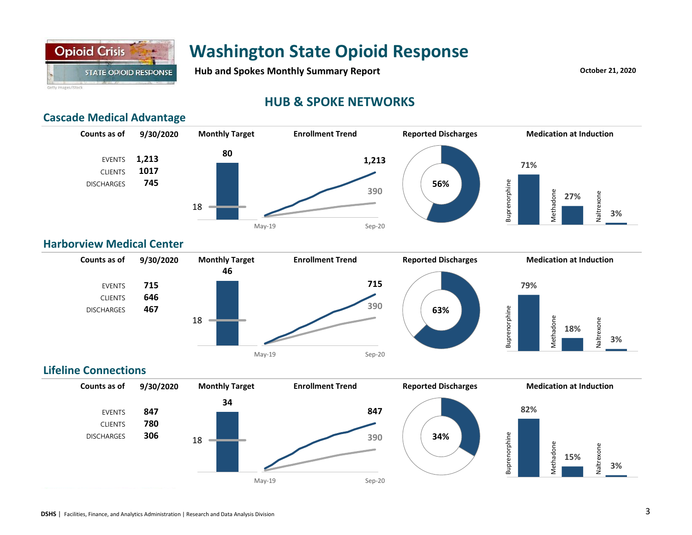

Hub and Spokes Monthly Summary Report **Container and Spokes 21, 2020** 

# **HUB & SPOKE NETWORKS**

### **Cascade Medical Advantage**



### **Harborview Medical Center**



### **Lifeline Connections**

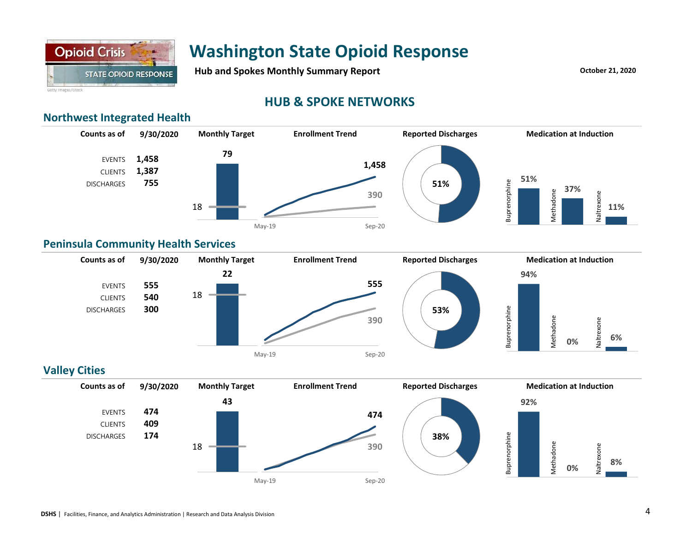

Hub and Spokes Monthly Summary Report **Container and Spokes 21, 2020** 

Getty Images/iStock

# **HUB & SPOKE NETWORKS**

## **Northwest Integrated Health**



### **Peninsula Community Health Services**



### **Valley Cities**